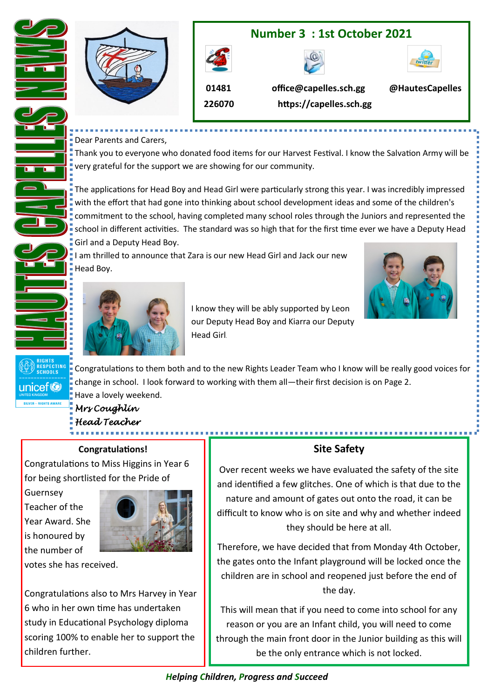

#### Dear Parents and Carers,

Thank you to everyone who donated food items for our Harvest Festival. I know the Salvation Army will be very grateful for the support we are showing for our community.

The applications for Head Boy and Head Girl were particularly strong this year. I was incredibly impressed with the effort that had gone into thinking about school development ideas and some of the children's commitment to the school, having completed many school roles through the Juniors and represented the school in different activities. The standard was so high that for the first time ever we have a Deputy Head Girl and a Deputy Head Boy.

I am thrilled to announce that Zara is our new Head Girl and Jack our new Head Boy.





 I know they will be ably supported by Leon our Deputy Head Boy and Kiarra our Deputy Head Girl.

Congratulations to them both and to the new Rights Leader Team who I know will be really good voices for change in school. I look forward to working with them all—their first decision is on Page 2. Have a lovely weekend.

# *Mrs Coughlin Head Teacher*

#### **Congratulations!**

Congratulations to Miss Higgins in Year 6 for being shortlisted for the Pride of

Guernsey Teacher of the Year Award. She is honoured by the number of

**RESPECTING**<br>SCHOOLS

unicef<sup>®</sup>

Ē



votes she has received.

Congratulations also to Mrs Harvey in Year 6 who in her own time has undertaken study in Educational Psychology diploma scoring 100% to enable her to support the children further.

#### **Site Safety**

.............................

Over recent weeks we have evaluated the safety of the site and identified a few glitches. One of which is that due to the nature and amount of gates out onto the road, it can be difficult to know who is on site and why and whether indeed they should be here at all.

Therefore, we have decided that from Monday 4th October, the gates onto the Infant playground will be locked once the children are in school and reopened just before the end of the day.

This will mean that if you need to come into school for any reason or you are an Infant child, you will need to come through the main front door in the Junior building as this will be the only entrance which is not locked.